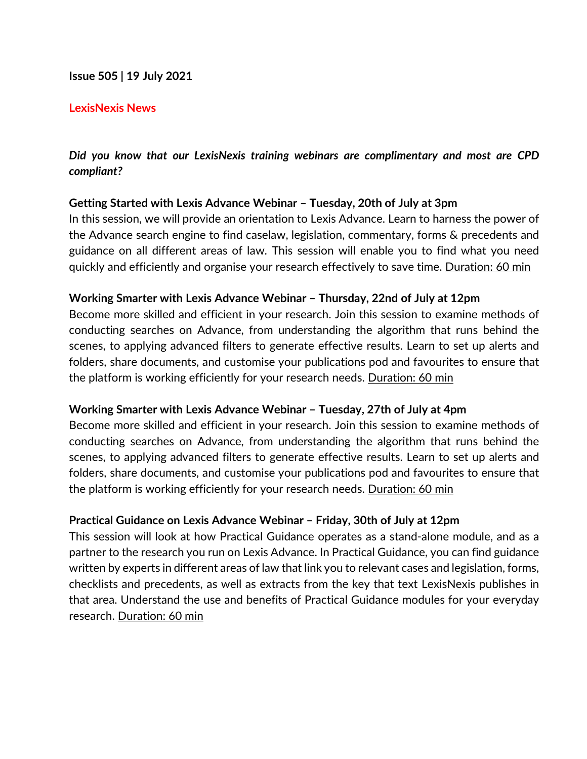## **Issue 505 | 19 July 2021**

### **LexisNexis News**

# *Did you know that our LexisNexis training webinars are complimentary and most are CPD compliant?*

## **Getting Started with Lexis Advance Webinar – Tuesday, 20th of July at 3pm**

In this session, we will provide an orientation to Lexis Advance. Learn to harness the power of the Advance search engine to find caselaw, legislation, commentary, forms & precedents and guidance on all different areas of law. This session will enable you to find what you need quickly and efficiently and organise your research effectively to save time. Duration: 60 min

### **Working Smarter with Lexis Advance Webinar – Thursday, 22nd of July at 12pm**

Become more skilled and efficient in your research. Join this session to examine methods of conducting searches on Advance, from understanding the algorithm that runs behind the scenes, to applying advanced filters to generate effective results. Learn to set up alerts and folders, share documents, and customise your publications pod and favourites to ensure that the platform is working efficiently for your research needs. Duration: 60 min

#### **Working Smarter with Lexis Advance Webinar – Tuesday, 27th of July at 4pm**

Become more skilled and efficient in your research. Join this session to examine methods of conducting searches on Advance, from understanding the algorithm that runs behind the scenes, to applying advanced filters to generate effective results. Learn to set up alerts and folders, share documents, and customise your publications pod and favourites to ensure that the platform is working efficiently for your research needs. Duration: 60 min

## **Practical Guidance on Lexis Advance Webinar – Friday, 30th of July at 12pm**

This session will look at how Practical Guidance operates as a stand-alone module, and as a partner to the research you run on Lexis Advance. In Practical Guidance, you can find guidance written by experts in different areas of law that link you to relevant cases and legislation, forms, checklists and precedents, as well as extracts from the key that text LexisNexis publishes in that area. Understand the use and benefits of Practical Guidance modules for your everyday research. Duration: 60 min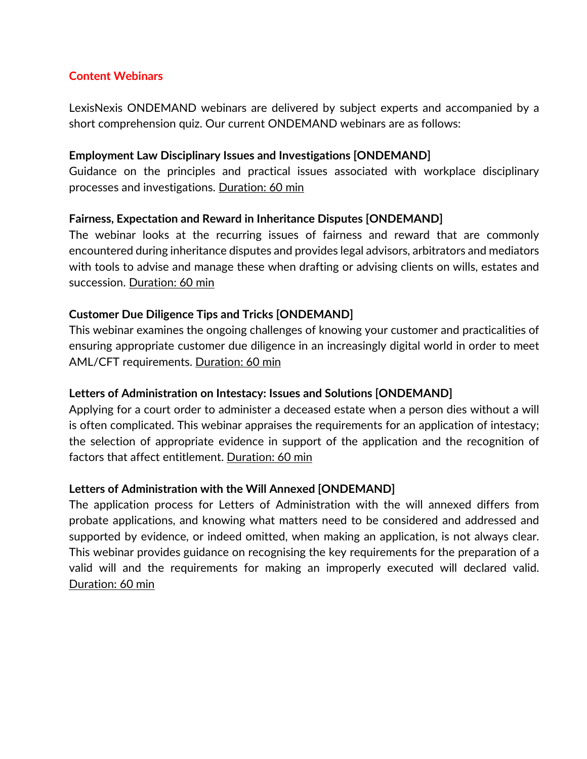## **Content Webinars**

LexisNexis ONDEMAND webinars are delivered by subject experts and accompanied by a short comprehension quiz. Our current ONDEMAND webinars are as follows:

## **Employment Law Disciplinary Issues and Investigations [ONDEMAND]**

Guidance on the principles and practical issues associated with workplace disciplinary processes and investigations. Duration: 60 min

# **Fairness, Expectation and Reward in Inheritance Disputes [ONDEMAND]**

The webinar looks at the recurring issues of fairness and reward that are commonly encountered during inheritance disputes and provides legal advisors, arbitrators and mediators with tools to advise and manage these when drafting or advising clients on wills, estates and succession. Duration: 60 min

## **Customer Due Diligence Tips and Tricks [ONDEMAND]**

This webinar examines the ongoing challenges of knowing your customer and practicalities of ensuring appropriate customer due diligence in an increasingly digital world in order to meet AML/CFT requirements. Duration: 60 min

## **Letters of Administration on Intestacy: Issues and Solutions [ONDEMAND]**

Applying for a court order to administer a deceased estate when a person dies without a will is often complicated. This webinar appraises the requirements for an application of intestacy; the selection of appropriate evidence in support of the application and the recognition of factors that affect entitlement. Duration: 60 min

# **Letters of Administration with the Will Annexed [ONDEMAND]**

The application process for Letters of Administration with the will annexed differs from probate applications, and knowing what matters need to be considered and addressed and supported by evidence, or indeed omitted, when making an application, is not always clear. This webinar provides guidance on recognising the key requirements for the preparation of a valid will and the requirements for making an improperly executed will declared valid. Duration: 60 min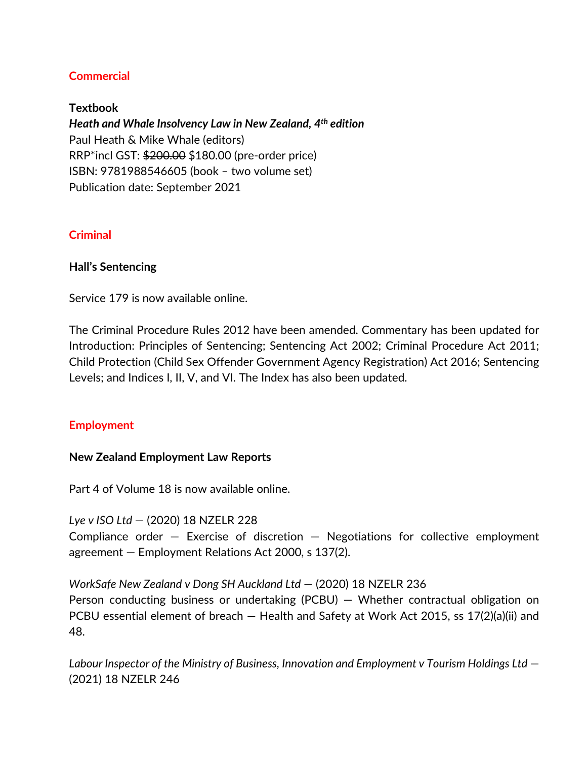# **Commercial**

**Textbook** *Heath and Whale Insolvency Law in New Zealand, 4th edition* Paul Heath & Mike Whale (editors) RRP\*incl GST: \$200.00 \$180.00 (pre-order price) ISBN: 9781988546605 (book – two volume set) Publication date: September 2021

## **Criminal**

## **Hall's Sentencing**

Service 179 is now available online.

The Criminal Procedure Rules 2012 have been amended. Commentary has been updated for Introduction: Principles of Sentencing; Sentencing Act 2002; Criminal Procedure Act 2011; Child Protection (Child Sex Offender Government Agency Registration) Act 2016; Sentencing Levels; and Indices I, II, V, and VI. The Index has also been updated.

# **Employment**

## **New Zealand Employment Law Reports**

Part 4 of Volume 18 is now available online.

*Lye v ISO Ltd* — (2020) 18 NZELR 228 Compliance order  $-$  Exercise of discretion  $-$  Negotiations for collective employment agreement — Employment Relations Act 2000, s 137(2).

*WorkSafe New Zealand v Dong SH Auckland Ltd* — (2020) 18 NZELR 236 Person conducting business or undertaking (PCBU) — Whether contractual obligation on PCBU essential element of breach — Health and Safety at Work Act 2015, ss 17(2)(a)(ii) and 48.

*Labour Inspector of the Ministry of Business, Innovation and Employment v Tourism Holdings Ltd* — (2021) 18 NZELR 246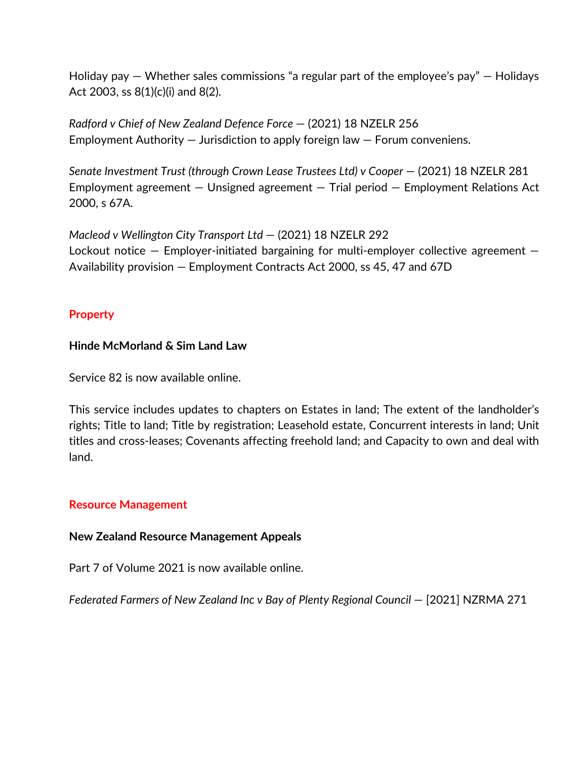Holiday pay  $-$  Whether sales commissions "a regular part of the employee's pay"  $-$  Holidays Act 2003, ss 8(1)(c)(i) and 8(2).

*Radford v Chief of New Zealand Defence Force* — (2021) 18 NZELR 256 Employment Authority — Jurisdiction to apply foreign law — Forum conveniens.

*Senate Investment Trust (through Crown Lease Trustees Ltd) v Cooper* — (2021) 18 NZELR 281 Employment agreement — Unsigned agreement — Trial period — Employment Relations Act 2000, s 67A.

*Macleod v Wellington City Transport Ltd* — (2021) 18 NZELR 292 Lockout notice  $-$  Employer-initiated bargaining for multi-employer collective agreement  $-$ Availability provision — Employment Contracts Act 2000, ss 45, 47 and 67D

# **Property**

# **Hinde McMorland & Sim Land Law**

Service 82 is now available online.

This service includes updates to chapters on Estates in land; The extent of the landholder's rights; Title to land; Title by registration; Leasehold estate, Concurrent interests in land; Unit titles and cross-leases; Covenants affecting freehold land; and Capacity to own and deal with land.

# **Resource Management**

# **New Zealand Resource Management Appeals**

Part 7 of Volume 2021 is now available online.

*Federated Farmers of New Zealand Inc v Bay of Plenty Regional Council* — [2021] NZRMA 271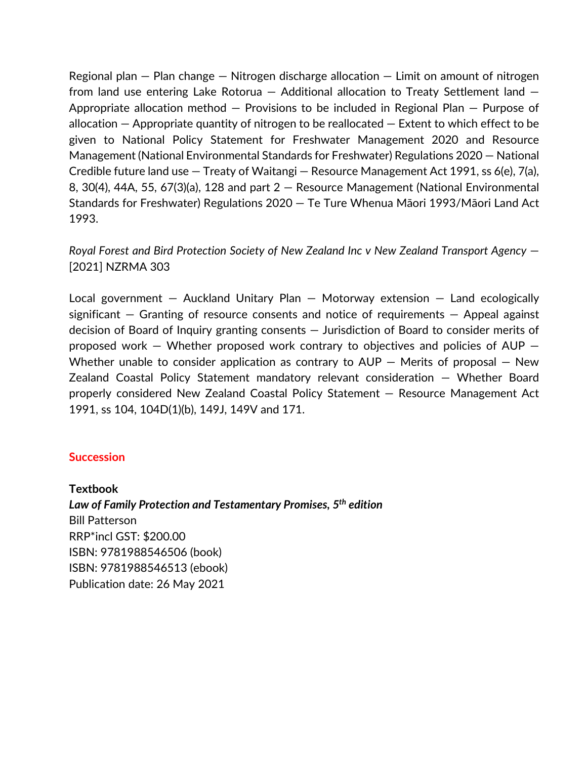Regional plan  $-$  Plan change  $-$  Nitrogen discharge allocation  $-$  Limit on amount of nitrogen from land use entering Lake Rotorua — Additional allocation to Treaty Settlement land — Appropriate allocation method — Provisions to be included in Regional Plan — Purpose of allocation — Appropriate quantity of nitrogen to be reallocated — Extent to which effect to be given to National Policy Statement for Freshwater Management 2020 and Resource Management (National Environmental Standards for Freshwater) Regulations 2020 — National Credible future land use — Treaty of Waitangi — Resource Management Act 1991, ss 6(e), 7(a), 8, 30(4), 44A, 55, 67(3)(a), 128 and part 2 — Resource Management (National Environmental Standards for Freshwater) Regulations 2020 — Te Ture Whenua Māori 1993/Māori Land Act 1993.

*Royal Forest and Bird Protection Society of New Zealand Inc v New Zealand Transport Agency* — [2021] NZRMA 303

Local government  $-$  Auckland Unitary Plan  $-$  Motorway extension  $-$  Land ecologically significant  $-$  Granting of resource consents and notice of requirements  $-$  Appeal against decision of Board of Inquiry granting consents — Jurisdiction of Board to consider merits of proposed work — Whether proposed work contrary to objectives and policies of AUP — Whether unable to consider application as contrary to  $AUP -$  Merits of proposal  $-$  New Zealand Coastal Policy Statement mandatory relevant consideration — Whether Board properly considered New Zealand Coastal Policy Statement — Resource Management Act 1991, ss 104, 104D(1)(b), 149J, 149V and 171.

#### **Succession**

**Textbook** *Law of Family Protection and Testamentary Promises, 5th edition* Bill Patterson RRP\*incl GST: \$200.00 ISBN: 9781988546506 (book) ISBN: 9781988546513 (ebook) Publication date: 26 May 2021